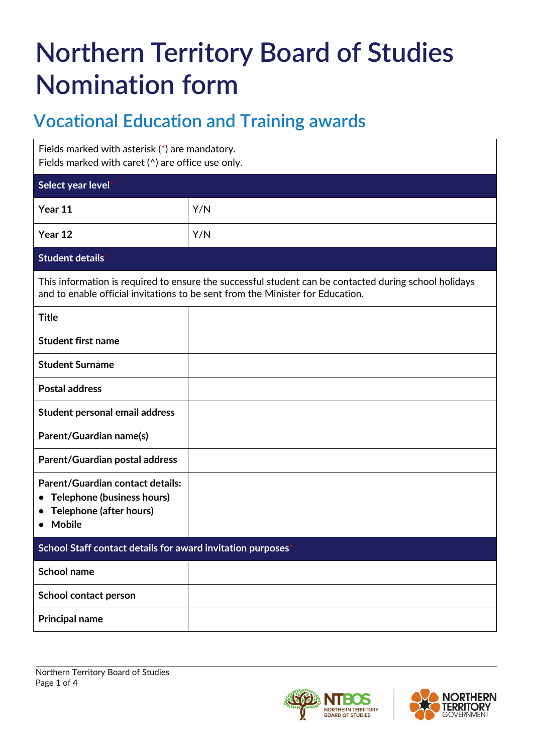# **Northern Territory Board of Studies Nomination form**

# **Vocational Education and Training awards**

| Fields marked with asterisk (*) are mandatory.<br>Fields marked with caret $(^\wedge)$ are office use only.                                                                             |     |  |  |  |
|-----------------------------------------------------------------------------------------------------------------------------------------------------------------------------------------|-----|--|--|--|
| Select year level                                                                                                                                                                       |     |  |  |  |
| Year 11                                                                                                                                                                                 | Y/N |  |  |  |
| Year 12                                                                                                                                                                                 | Y/N |  |  |  |
| Student details                                                                                                                                                                         |     |  |  |  |
| This information is required to ensure the successful student can be contacted during school holidays<br>and to enable official invitations to be sent from the Minister for Education. |     |  |  |  |
| <b>Title</b>                                                                                                                                                                            |     |  |  |  |
| <b>Student first name</b>                                                                                                                                                               |     |  |  |  |
| <b>Student Surname</b>                                                                                                                                                                  |     |  |  |  |
| <b>Postal address</b>                                                                                                                                                                   |     |  |  |  |
| Student personal email address                                                                                                                                                          |     |  |  |  |
| Parent/Guardian name(s)                                                                                                                                                                 |     |  |  |  |
| Parent/Guardian postal address                                                                                                                                                          |     |  |  |  |
| <b>Parent/Guardian contact details:</b><br>Telephone (business hours)<br>$\bullet$<br>Telephone (after hours)<br><b>Mobile</b>                                                          |     |  |  |  |
| School Staff contact details for award invitation purposes                                                                                                                              |     |  |  |  |
| School name                                                                                                                                                                             |     |  |  |  |
| School contact person                                                                                                                                                                   |     |  |  |  |
| <b>Principal name</b>                                                                                                                                                                   |     |  |  |  |



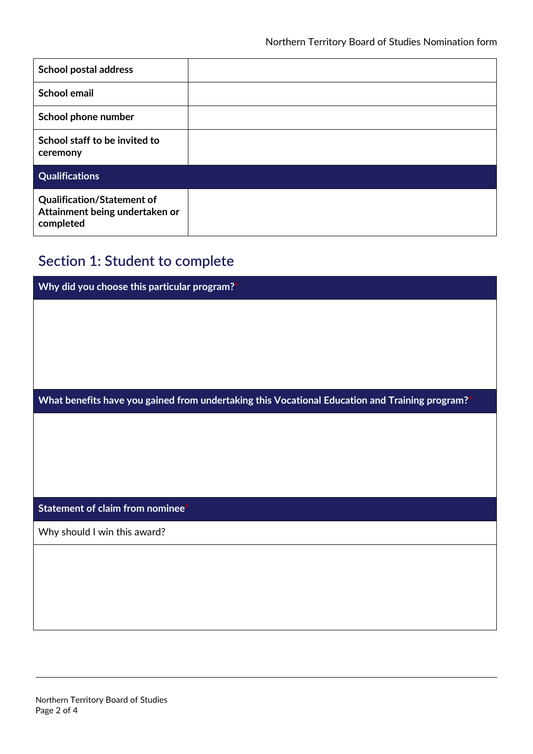| <b>School postal address</b>                                                     |  |
|----------------------------------------------------------------------------------|--|
| <b>School email</b>                                                              |  |
| School phone number                                                              |  |
| School staff to be invited to<br>ceremony                                        |  |
| <b>Qualifications</b>                                                            |  |
| <b>Qualification/Statement of</b><br>Attainment being undertaken or<br>completed |  |

## **Section 1: Student to complete**

| Why did you choose this particular program? <sup>*</sup>                                       |  |  |
|------------------------------------------------------------------------------------------------|--|--|
|                                                                                                |  |  |
|                                                                                                |  |  |
|                                                                                                |  |  |
|                                                                                                |  |  |
|                                                                                                |  |  |
| What benefits have you gained from undertaking this Vocational Education and Training program? |  |  |
|                                                                                                |  |  |
|                                                                                                |  |  |
|                                                                                                |  |  |
|                                                                                                |  |  |
|                                                                                                |  |  |
| Statement of claim from nominee <sup>*</sup>                                                   |  |  |
| Why should I win this award?                                                                   |  |  |
|                                                                                                |  |  |
|                                                                                                |  |  |
|                                                                                                |  |  |
|                                                                                                |  |  |
|                                                                                                |  |  |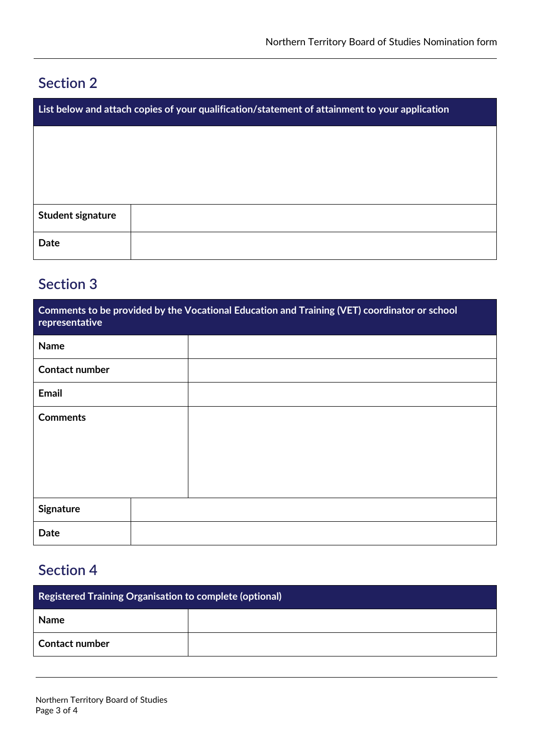#### **Section 2**

| List below and attach copies of your qualification/statement of attainment to your application |  |  |  |
|------------------------------------------------------------------------------------------------|--|--|--|
|                                                                                                |  |  |  |
|                                                                                                |  |  |  |
|                                                                                                |  |  |  |
| <b>Student signature</b>                                                                       |  |  |  |
| Date                                                                                           |  |  |  |

### **Section 3**

| Comments to be provided by the Vocational Education and Training (VET) coordinator or school<br>representative |  |  |  |  |
|----------------------------------------------------------------------------------------------------------------|--|--|--|--|
| <b>Name</b>                                                                                                    |  |  |  |  |
| <b>Contact number</b>                                                                                          |  |  |  |  |
| Email                                                                                                          |  |  |  |  |
| <b>Comments</b>                                                                                                |  |  |  |  |
| <b>Signature</b>                                                                                               |  |  |  |  |
| Date                                                                                                           |  |  |  |  |

# **Section 4**

| <b>Registered Training Organisation to complete (optional)</b> |  |  |  |
|----------------------------------------------------------------|--|--|--|
| <b>Name</b>                                                    |  |  |  |
| <b>Contact number</b>                                          |  |  |  |